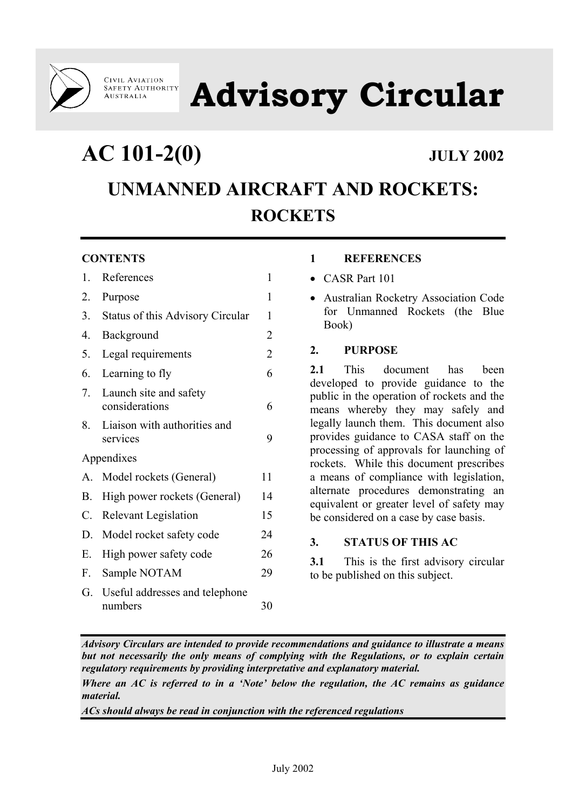

**CIVIL AVIATION<br>SAFETY AUTHORITY AUSTRALIA** 

**Advisory Circular** 

**AC 101-2(0) JULY 2002**

# **UNMANNED AIRCRAFT AND ROCKETS: ROCKETS**

# **CONTENTS**

| 1.          | References                                | 1              |
|-------------|-------------------------------------------|----------------|
| 2.          | Purpose                                   | 1              |
| 3.          | Status of this Advisory Circular          | 1              |
| 4.          | Background                                | 2              |
| 5.          | Legal requirements                        | $\overline{2}$ |
| 6.          | Learning to fly                           | 6              |
| 7.          | Launch site and safety<br>considerations  | 6              |
| 8.          | Liaison with authorities and<br>services  | 9              |
|             | Appendixes                                |                |
| $A_{\cdot}$ | Model rockets (General)                   | 11             |
| <b>B.</b>   | High power rockets (General)              | 14             |
| C.          | Relevant Legislation                      | 15             |
| D.          | Model rocket safety code                  | 24             |
| Е.          | High power safety code                    | 26             |
| F.          | Sample NOTAM                              | 29             |
| G.          | Useful addresses and telephone<br>numbers | 30             |

# **1 REFERENCES**

- CASR Part 101
- Australian Rocketry Association Code for Unmanned Rockets (the Blue Book)

# **2. PURPOSE**

**2.1** This document has been developed to provide guidance to the public in the operation of rockets and the means whereby they may safely and legally launch them. This document also provides guidance to CASA staff on the processing of approvals for launching of rockets. While this document prescribes a means of compliance with legislation, alternate procedures demonstrating an equivalent or greater level of safety may be considered on a case by case basis.

# **3. STATUS OF THIS AC**

**3.1** This is the first advisory circular to be published on this subject.

*Advisory Circulars are intended to provide recommendations and guidance to illustrate a means but not necessarily the only means of complying with the Regulations, or to explain certain regulatory requirements by providing interpretative and explanatory material.* 

*Where an AC is referred to in a 'Note' below the regulation, the AC remains as guidance material.* 

*ACs should always be read in conjunction with the referenced regulations*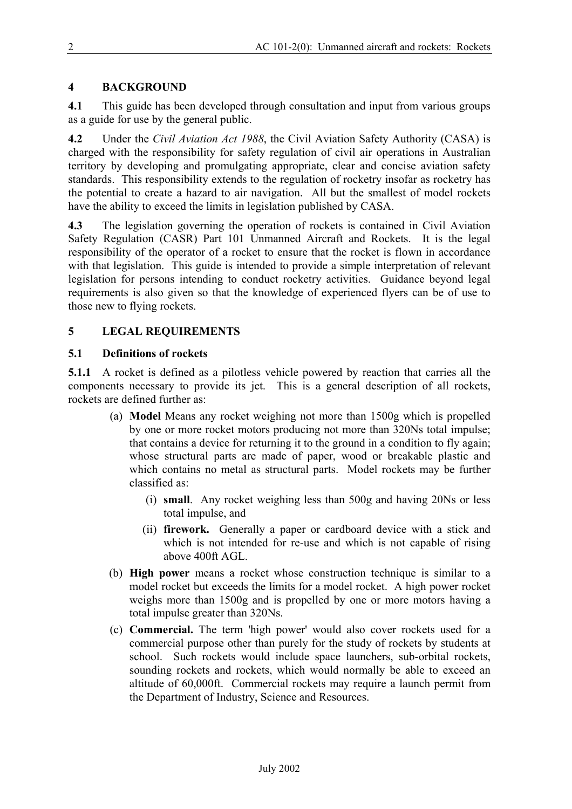# **4 BACKGROUND**

**4.1** This guide has been developed through consultation and input from various groups as a guide for use by the general public.

**4.2** Under the *Civil Aviation Act 1988*, the Civil Aviation Safety Authority (CASA) is charged with the responsibility for safety regulation of civil air operations in Australian territory by developing and promulgating appropriate, clear and concise aviation safety standards. This responsibility extends to the regulation of rocketry insofar as rocketry has the potential to create a hazard to air navigation. All but the smallest of model rockets have the ability to exceed the limits in legislation published by CASA.

**4.3** The legislation governing the operation of rockets is contained in Civil Aviation Safety Regulation (CASR) Part 101 Unmanned Aircraft and Rockets. It is the legal responsibility of the operator of a rocket to ensure that the rocket is flown in accordance with that legislation. This guide is intended to provide a simple interpretation of relevant legislation for persons intending to conduct rocketry activities. Guidance beyond legal requirements is also given so that the knowledge of experienced flyers can be of use to those new to flying rockets.

# **5 LEGAL REQUIREMENTS**

### **5.1 Definitions of rockets**

**5.1.1** A rocket is defined as a pilotless vehicle powered by reaction that carries all the components necessary to provide its jet. This is a general description of all rockets, rockets are defined further as:

- (a) **Model** Means any rocket weighing not more than 1500g which is propelled by one or more rocket motors producing not more than 320Ns total impulse; that contains a device for returning it to the ground in a condition to fly again; whose structural parts are made of paper, wood or breakable plastic and which contains no metal as structural parts. Model rockets may be further classified as:
	- (i) **small**. Any rocket weighing less than 500g and having 20Ns or less total impulse, and
	- (ii) **firework.** Generally a paper or cardboard device with a stick and which is not intended for re-use and which is not capable of rising above 400ft AGL.
- (b) **High power** means a rocket whose construction technique is similar to a model rocket but exceeds the limits for a model rocket. A high power rocket weighs more than 1500g and is propelled by one or more motors having a total impulse greater than 320Ns.
- (c) **Commercial.** The term 'high power' would also cover rockets used for a commercial purpose other than purely for the study of rockets by students at school. Such rockets would include space launchers, sub-orbital rockets, sounding rockets and rockets, which would normally be able to exceed an altitude of 60,000ft. Commercial rockets may require a launch permit from the Department of Industry, Science and Resources.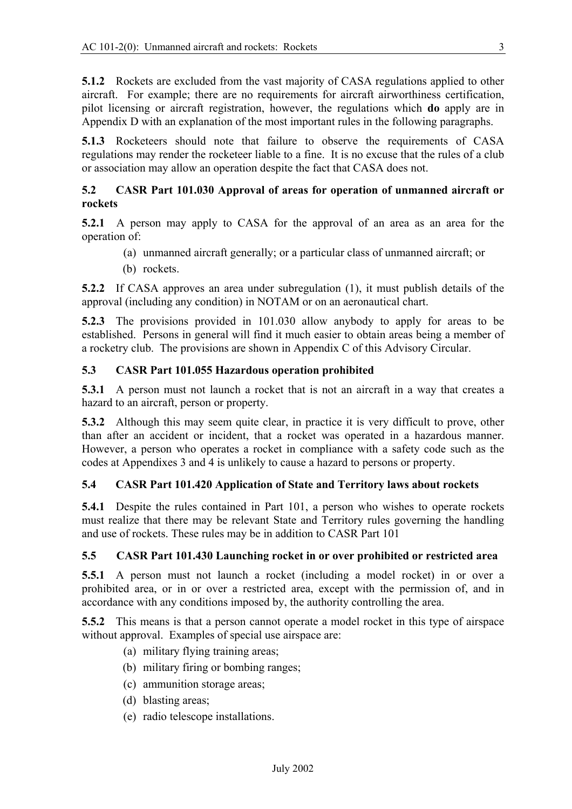**5.1.2** Rockets are excluded from the vast majority of CASA regulations applied to other aircraft. For example; there are no requirements for aircraft airworthiness certification, pilot licensing or aircraft registration, however, the regulations which **do** apply are in Appendix D with an explanation of the most important rules in the following paragraphs.

**5.1.3** Rocketeers should note that failure to observe the requirements of CASA regulations may render the rocketeer liable to a fine. It is no excuse that the rules of a club or association may allow an operation despite the fact that CASA does not.

### **5.2 CASR Part 101.030 Approval of areas for operation of unmanned aircraft or rockets**

**5.2.1** A person may apply to CASA for the approval of an area as an area for the operation of:

- (a) unmanned aircraft generally; or a particular class of unmanned aircraft; or
- (b) rockets.

**5.2.2** If CASA approves an area under subregulation (1), it must publish details of the approval (including any condition) in NOTAM or on an aeronautical chart.

**5.2.3** The provisions provided in 101.030 allow anybody to apply for areas to be established. Persons in general will find it much easier to obtain areas being a member of a rocketry club. The provisions are shown in Appendix C of this Advisory Circular.

#### **5.3 CASR Part 101.055 Hazardous operation prohibited**

**5.3.1** A person must not launch a rocket that is not an aircraft in a way that creates a hazard to an aircraft, person or property.

**5.3.2** Although this may seem quite clear, in practice it is very difficult to prove, other than after an accident or incident, that a rocket was operated in a hazardous manner. However, a person who operates a rocket in compliance with a safety code such as the codes at Appendixes 3 and 4 is unlikely to cause a hazard to persons or property.

#### **5.4 CASR Part 101.420 Application of State and Territory laws about rockets**

**5.4.1** Despite the rules contained in Part 101, a person who wishes to operate rockets must realize that there may be relevant State and Territory rules governing the handling and use of rockets. These rules may be in addition to CASR Part 101

#### **5.5 CASR Part 101.430 Launching rocket in or over prohibited or restricted area**

**5.5.1** A person must not launch a rocket (including a model rocket) in or over a prohibited area, or in or over a restricted area, except with the permission of, and in accordance with any conditions imposed by, the authority controlling the area.

**5.5.2** This means is that a person cannot operate a model rocket in this type of airspace without approval. Examples of special use airspace are:

- (a) military flying training areas;
- (b) military firing or bombing ranges;
- (c) ammunition storage areas;
- (d) blasting areas;
- (e) radio telescope installations.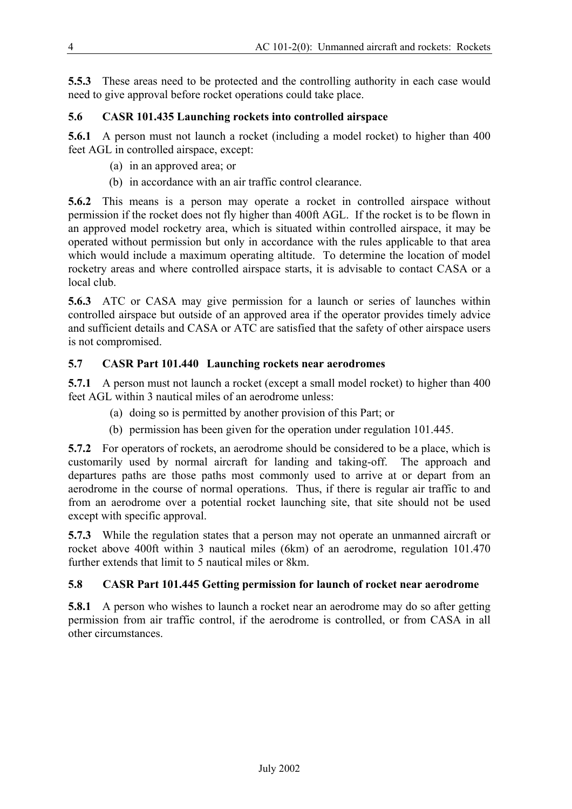**5.5.3** These areas need to be protected and the controlling authority in each case would need to give approval before rocket operations could take place.

# **5.6 CASR 101.435 Launching rockets into controlled airspace**

**5.6.1** A person must not launch a rocket (including a model rocket) to higher than 400 feet AGL in controlled airspace, except:

- (a) in an approved area; or
- (b) in accordance with an air traffic control clearance.

**5.6.2** This means is a person may operate a rocket in controlled airspace without permission if the rocket does not fly higher than 400ft AGL. If the rocket is to be flown in an approved model rocketry area, which is situated within controlled airspace, it may be operated without permission but only in accordance with the rules applicable to that area which would include a maximum operating altitude. To determine the location of model rocketry areas and where controlled airspace starts, it is advisable to contact CASA or a local club.

**5.6.3** ATC or CASA may give permission for a launch or series of launches within controlled airspace but outside of an approved area if the operator provides timely advice and sufficient details and CASA or ATC are satisfied that the safety of other airspace users is not compromised.

# **5.7 CASR Part 101.440 Launching rockets near aerodromes**

**5.7.1** A person must not launch a rocket (except a small model rocket) to higher than 400 feet AGL within 3 nautical miles of an aerodrome unless:

- (a) doing so is permitted by another provision of this Part; or
- (b) permission has been given for the operation under regulation 101.445.

**5.7.2** For operators of rockets, an aerodrome should be considered to be a place, which is customarily used by normal aircraft for landing and taking-off. The approach and departures paths are those paths most commonly used to arrive at or depart from an aerodrome in the course of normal operations. Thus, if there is regular air traffic to and from an aerodrome over a potential rocket launching site, that site should not be used except with specific approval.

**5.7.3** While the regulation states that a person may not operate an unmanned aircraft or rocket above 400ft within 3 nautical miles (6km) of an aerodrome, regulation 101.470 further extends that limit to 5 nautical miles or 8km.

# **5.8 CASR Part 101.445 Getting permission for launch of rocket near aerodrome**

**5.8.1** A person who wishes to launch a rocket near an aerodrome may do so after getting permission from air traffic control, if the aerodrome is controlled, or from CASA in all other circumstances.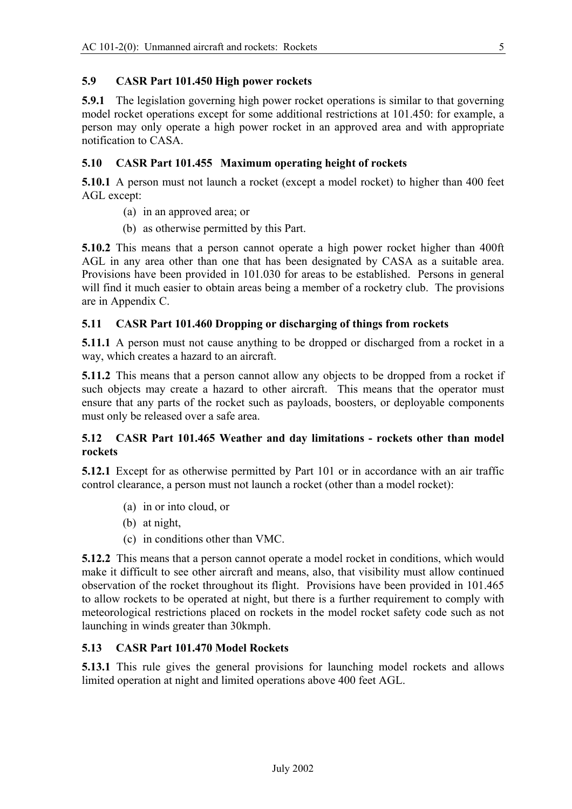# **5.9 CASR Part 101.450 High power rockets**

**5.9.1** The legislation governing high power rocket operations is similar to that governing model rocket operations except for some additional restrictions at 101.450: for example, a person may only operate a high power rocket in an approved area and with appropriate notification to CASA.

# **5.10 CASR Part 101.455 Maximum operating height of rockets**

**5.10.1** A person must not launch a rocket (except a model rocket) to higher than 400 feet AGL except:

- (a) in an approved area; or
- (b) as otherwise permitted by this Part.

**5.10.2** This means that a person cannot operate a high power rocket higher than 400ft AGL in any area other than one that has been designated by CASA as a suitable area. Provisions have been provided in 101.030 for areas to be established. Persons in general will find it much easier to obtain areas being a member of a rocketry club. The provisions are in Appendix C.

# **5.11 CASR Part 101.460 Dropping or discharging of things from rockets**

**5.11.1** A person must not cause anything to be dropped or discharged from a rocket in a way, which creates a hazard to an aircraft.

**5.11.2** This means that a person cannot allow any objects to be dropped from a rocket if such objects may create a hazard to other aircraft. This means that the operator must ensure that any parts of the rocket such as payloads, boosters, or deployable components must only be released over a safe area.

# **5.12 CASR Part 101.465 Weather and day limitations - rockets other than model rockets**

**5.12.1** Except for as otherwise permitted by Part 101 or in accordance with an air traffic control clearance, a person must not launch a rocket (other than a model rocket):

- (a) in or into cloud, or
- (b) at night,
- (c) in conditions other than VMC.

**5.12.2** This means that a person cannot operate a model rocket in conditions, which would make it difficult to see other aircraft and means, also, that visibility must allow continued observation of the rocket throughout its flight. Provisions have been provided in 101.465 to allow rockets to be operated at night, but there is a further requirement to comply with meteorological restrictions placed on rockets in the model rocket safety code such as not launching in winds greater than 30kmph.

# **5.13 CASR Part 101.470 Model Rockets**

**5.13.1** This rule gives the general provisions for launching model rockets and allows limited operation at night and limited operations above 400 feet AGL.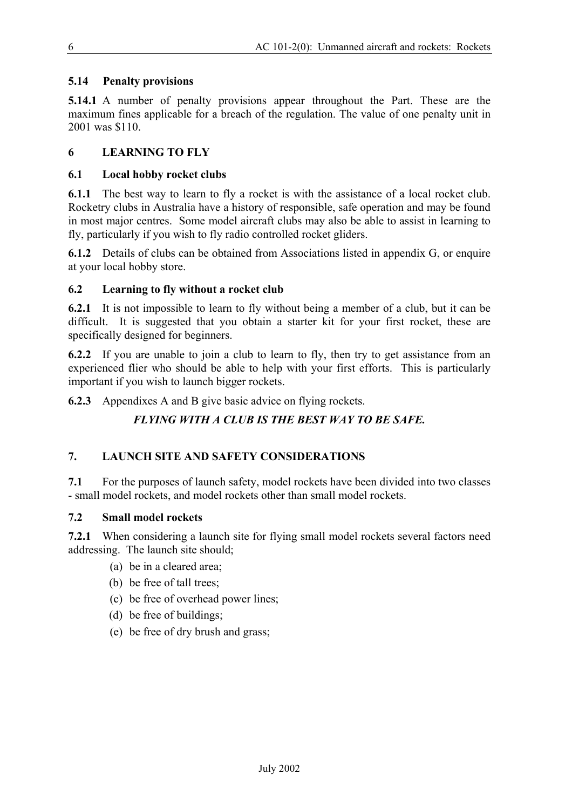# **5.14 Penalty provisions**

**5.14.1** A number of penalty provisions appear throughout the Part. These are the maximum fines applicable for a breach of the regulation. The value of one penalty unit in 2001 was \$110.

# **6 LEARNING TO FLY**

## **6.1 Local hobby rocket clubs**

**6.1.1** The best way to learn to fly a rocket is with the assistance of a local rocket club. Rocketry clubs in Australia have a history of responsible, safe operation and may be found in most major centres. Some model aircraft clubs may also be able to assist in learning to fly, particularly if you wish to fly radio controlled rocket gliders.

**6.1.2** Details of clubs can be obtained from Associations listed in appendix G, or enquire at your local hobby store.

# **6.2 Learning to fly without a rocket club**

**6.2.1** It is not impossible to learn to fly without being a member of a club, but it can be difficult. It is suggested that you obtain a starter kit for your first rocket, these are specifically designed for beginners.

**6.2.2** If you are unable to join a club to learn to fly, then try to get assistance from an experienced flier who should be able to help with your first efforts. This is particularly important if you wish to launch bigger rockets.

**6.2.3** Appendixes A and B give basic advice on flying rockets.

# *FLYING WITH A CLUB IS THE BEST WAY TO BE SAFE.*

# **7. LAUNCH SITE AND SAFETY CONSIDERATIONS**

**7.1** For the purposes of launch safety, model rockets have been divided into two classes - small model rockets, and model rockets other than small model rockets.

# **7.2 Small model rockets**

**7.2.1** When considering a launch site for flying small model rockets several factors need addressing. The launch site should;

- (a) be in a cleared area;
- (b) be free of tall trees;
- (c) be free of overhead power lines;
- (d) be free of buildings;
- (e) be free of dry brush and grass;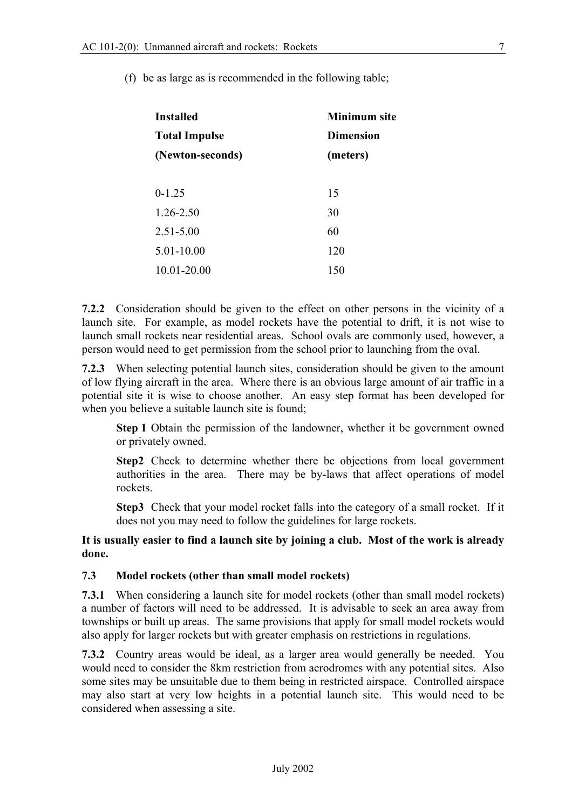| <b>Installed</b>     | <b>Minimum</b> site<br><b>Dimension</b> |  |  |
|----------------------|-----------------------------------------|--|--|
| <b>Total Impulse</b> |                                         |  |  |
| (Newton-seconds)     | (meters)                                |  |  |
| $0-1.25$             | 15                                      |  |  |
| $1.26 - 2.50$        | 30                                      |  |  |
| $2.51 - 5.00$        | 60                                      |  |  |
| 5.01-10.00           | 120                                     |  |  |
| 10.01-20.00          | 150                                     |  |  |

(f) be as large as is recommended in the following table;

**7.2.2** Consideration should be given to the effect on other persons in the vicinity of a launch site. For example, as model rockets have the potential to drift, it is not wise to launch small rockets near residential areas. School ovals are commonly used, however, a person would need to get permission from the school prior to launching from the oval.

**7.2.3** When selecting potential launch sites, consideration should be given to the amount of low flying aircraft in the area. Where there is an obvious large amount of air traffic in a potential site it is wise to choose another. An easy step format has been developed for when you believe a suitable launch site is found;

**Step 1** Obtain the permission of the landowner, whether it be government owned or privately owned.

**Step2** Check to determine whether there be objections from local government authorities in the area. There may be by-laws that affect operations of model rockets.

**Step3** Check that your model rocket falls into the category of a small rocket. If it does not you may need to follow the guidelines for large rockets.

**It is usually easier to find a launch site by joining a club. Most of the work is already done.** 

## **7.3 Model rockets (other than small model rockets)**

**7.3.1** When considering a launch site for model rockets (other than small model rockets) a number of factors will need to be addressed. It is advisable to seek an area away from townships or built up areas. The same provisions that apply for small model rockets would also apply for larger rockets but with greater emphasis on restrictions in regulations.

**7.3.2** Country areas would be ideal, as a larger area would generally be needed. You would need to consider the 8km restriction from aerodromes with any potential sites. Also some sites may be unsuitable due to them being in restricted airspace. Controlled airspace may also start at very low heights in a potential launch site. This would need to be considered when assessing a site.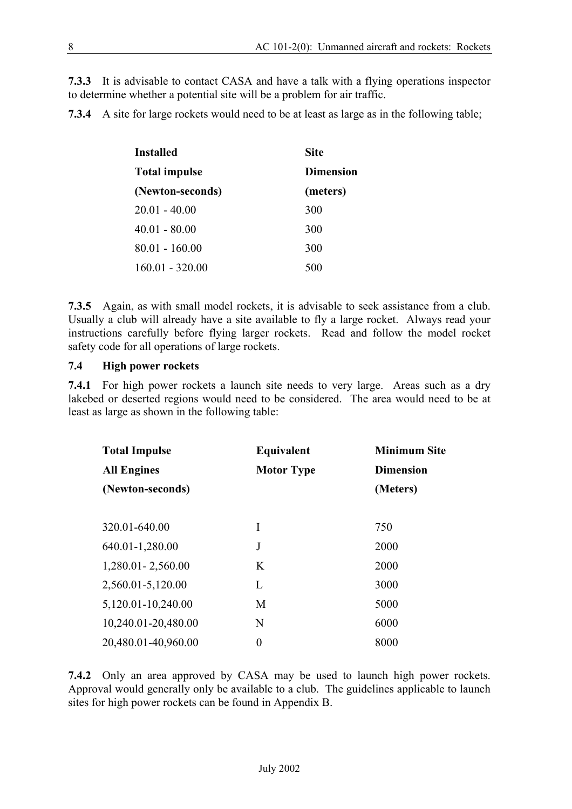**7.3.3** It is advisable to contact CASA and have a talk with a flying operations inspector to determine whether a potential site will be a problem for air traffic.

**7.3.4** A site for large rockets would need to be at least as large as in the following table;

| Installed            | <b>Site</b>      |  |  |
|----------------------|------------------|--|--|
| <b>Total impulse</b> | <b>Dimension</b> |  |  |
| (Newton-seconds)     | (meters)         |  |  |
| $20.01 - 40.00$      | 300              |  |  |
| $40.01 - 80.00$      | 300              |  |  |
| $80.01 - 160.00$     | 300              |  |  |
| $160.01 - 320.00$    | 500              |  |  |

**7.3.5** Again, as with small model rockets, it is advisable to seek assistance from a club. Usually a club will already have a site available to fly a large rocket. Always read your instructions carefully before flying larger rockets. Read and follow the model rocket safety code for all operations of large rockets.

#### **7.4 High power rockets**

**7.4.1** For high power rockets a launch site needs to very large. Areas such as a dry lakebed or deserted regions would need to be considered. The area would need to be at least as large as shown in the following table:

| <b>Total Impulse</b> | Equivalent        | <b>Minimum Site</b><br><b>Dimension</b> |  |
|----------------------|-------------------|-----------------------------------------|--|
| <b>All Engines</b>   | <b>Motor Type</b> |                                         |  |
| (Newton-seconds)     |                   | (Meters)                                |  |
|                      |                   |                                         |  |
| 320.01-640.00        | I                 | 750                                     |  |
| 640.01-1,280.00      | J                 | 2000                                    |  |
| 1,280.01 - 2,560.00  | K                 | 2000                                    |  |
| 2,560.01-5,120.00    | L                 | 3000                                    |  |
| 5,120.01-10,240.00   | M                 | 5000                                    |  |
| 10,240.01-20,480.00  | N                 | 6000                                    |  |
| 20,480.01-40,960.00  | $\overline{0}$    | 8000                                    |  |

**7.4.2** Only an area approved by CASA may be used to launch high power rockets. Approval would generally only be available to a club. The guidelines applicable to launch sites for high power rockets can be found in Appendix B.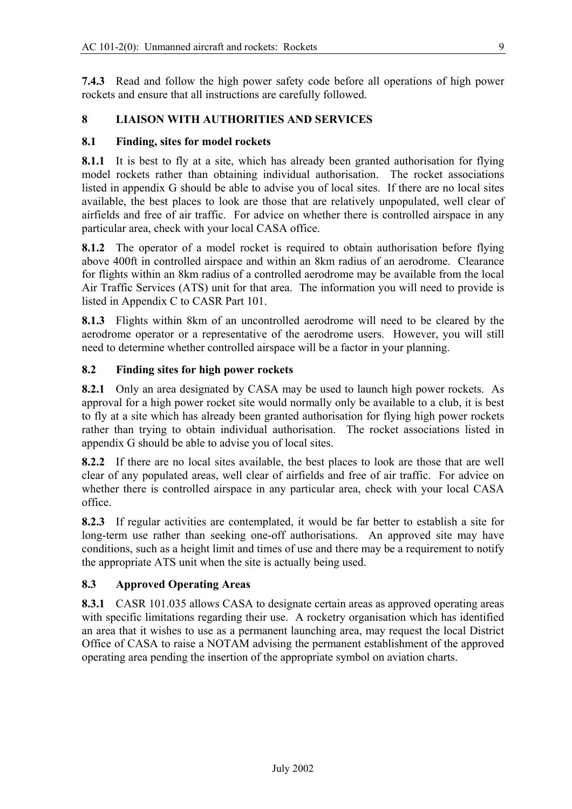**7.4.3** Read and follow the high power safety code before all operations of high power rockets and ensure that all instructions are carefully followed.

### **8 LIAISON WITH AUTHORITIES AND SERVICES**

#### **8.1 Finding, sites for model rockets**

**8.1.1** It is best to fly at a site, which has already been granted authorisation for flying model rockets rather than obtaining individual authorisation. The rocket associations listed in appendix G should be able to advise you of local sites. If there are no local sites available, the best places to look are those that are relatively unpopulated, well clear of airfields and free of air traffic. For advice on whether there is controlled airspace in any particular area, check with your local CASA office.

**8.1.2** The operator of a model rocket is required to obtain authorisation before flying above 400ft in controlled airspace and within an 8km radius of an aerodrome. Clearance for flights within an 8km radius of a controlled aerodrome may be available from the local Air Traffic Services (ATS) unit for that area. The information you will need to provide is listed in Appendix C to CASR Part 101.

**8.1.3** Flights within 8km of an uncontrolled aerodrome will need to be cleared by the aerodrome operator or a representative of the aerodrome users. However, you will still need to determine whether controlled airspace will be a factor in your planning.

#### **8.2 Finding sites for high power rockets**

**8.2.1** Only an area designated by CASA may be used to launch high power rockets. As approval for a high power rocket site would normally only be available to a club, it is best to fly at a site which has already been granted authorisation for flying high power rockets rather than trying to obtain individual authorisation. The rocket associations listed in appendix G should be able to advise you of local sites.

**8.2.2** If there are no local sites available, the best places to look are those that are well clear of any populated areas, well clear of airfields and free of air traffic. For advice on whether there is controlled airspace in any particular area, check with your local CASA office.

**8.2.3** If regular activities are contemplated, it would be far better to establish a site for long-term use rather than seeking one-off authorisations. An approved site may have conditions, such as a height limit and times of use and there may be a requirement to notify the appropriate ATS unit when the site is actually being used.

#### **8.3 Approved Operating Areas**

**8.3.1** CASR 101.035 allows CASA to designate certain areas as approved operating areas with specific limitations regarding their use. A rocketry organisation which has identified an area that it wishes to use as a permanent launching area, may request the local District Office of CASA to raise a NOTAM advising the permanent establishment of the approved operating area pending the insertion of the appropriate symbol on aviation charts.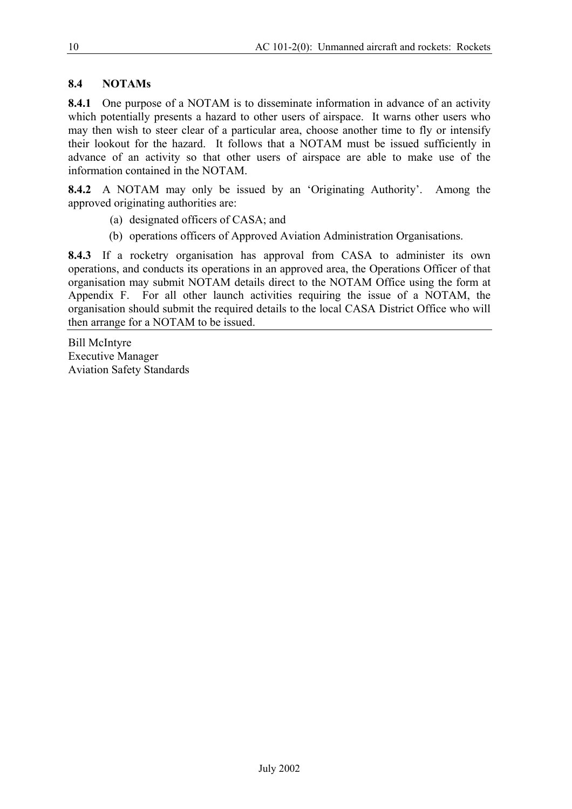# **8.4 NOTAMs**

**8.4.1** One purpose of a NOTAM is to disseminate information in advance of an activity which potentially presents a hazard to other users of airspace. It warns other users who may then wish to steer clear of a particular area, choose another time to fly or intensify their lookout for the hazard. It follows that a NOTAM must be issued sufficiently in advance of an activity so that other users of airspace are able to make use of the information contained in the NOTAM.

**8.4.2** A NOTAM may only be issued by an 'Originating Authority'. Among the approved originating authorities are:

- (a) designated officers of CASA; and
- (b) operations officers of Approved Aviation Administration Organisations.

**8.4.3** If a rocketry organisation has approval from CASA to administer its own operations, and conducts its operations in an approved area, the Operations Officer of that organisation may submit NOTAM details direct to the NOTAM Office using the form at Appendix F. For all other launch activities requiring the issue of a NOTAM, the organisation should submit the required details to the local CASA District Office who will then arrange for a NOTAM to be issued.

Bill McIntyre Executive Manager Aviation Safety Standards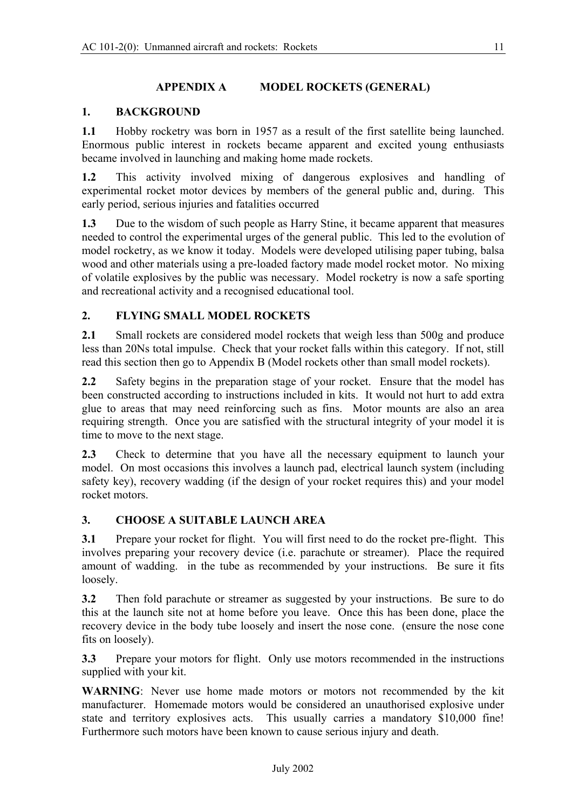# **APPENDIX A MODEL ROCKETS (GENERAL)**

# **1. BACKGROUND**

**1.1** Hobby rocketry was born in 1957 as a result of the first satellite being launched. Enormous public interest in rockets became apparent and excited young enthusiasts became involved in launching and making home made rockets.

**1.2** This activity involved mixing of dangerous explosives and handling of experimental rocket motor devices by members of the general public and, during. This early period, serious injuries and fatalities occurred

**1.3** Due to the wisdom of such people as Harry Stine, it became apparent that measures needed to control the experimental urges of the general public. This led to the evolution of model rocketry, as we know it today. Models were developed utilising paper tubing, balsa wood and other materials using a pre-loaded factory made model rocket motor. No mixing of volatile explosives by the public was necessary. Model rocketry is now a safe sporting and recreational activity and a recognised educational tool.

# **2. FLYING SMALL MODEL ROCKETS**

**2.1** Small rockets are considered model rockets that weigh less than 500g and produce less than 20Ns total impulse. Check that your rocket falls within this category. If not, still read this section then go to Appendix B (Model rockets other than small model rockets).

**2.2** Safety begins in the preparation stage of your rocket. Ensure that the model has been constructed according to instructions included in kits. It would not hurt to add extra glue to areas that may need reinforcing such as fins. Motor mounts are also an area requiring strength. Once you are satisfied with the structural integrity of your model it is time to move to the next stage.

**2.3** Check to determine that you have all the necessary equipment to launch your model. On most occasions this involves a launch pad, electrical launch system (including safety key), recovery wadding (if the design of your rocket requires this) and your model rocket motors.

# **3. CHOOSE A SUITABLE LAUNCH AREA**

**3.1** Prepare your rocket for flight. You will first need to do the rocket pre-flight. This involves preparing your recovery device (i.e. parachute or streamer). Place the required amount of wadding. in the tube as recommended by your instructions. Be sure it fits loosely.

**3.2** Then fold parachute or streamer as suggested by your instructions. Be sure to do this at the launch site not at home before you leave. Once this has been done, place the recovery device in the body tube loosely and insert the nose cone. (ensure the nose cone fits on loosely).

**3.3** Prepare your motors for flight. Only use motors recommended in the instructions supplied with your kit.

**WARNING**: Never use home made motors or motors not recommended by the kit manufacturer. Homemade motors would be considered an unauthorised explosive under state and territory explosives acts. This usually carries a mandatory \$10,000 fine! Furthermore such motors have been known to cause serious injury and death.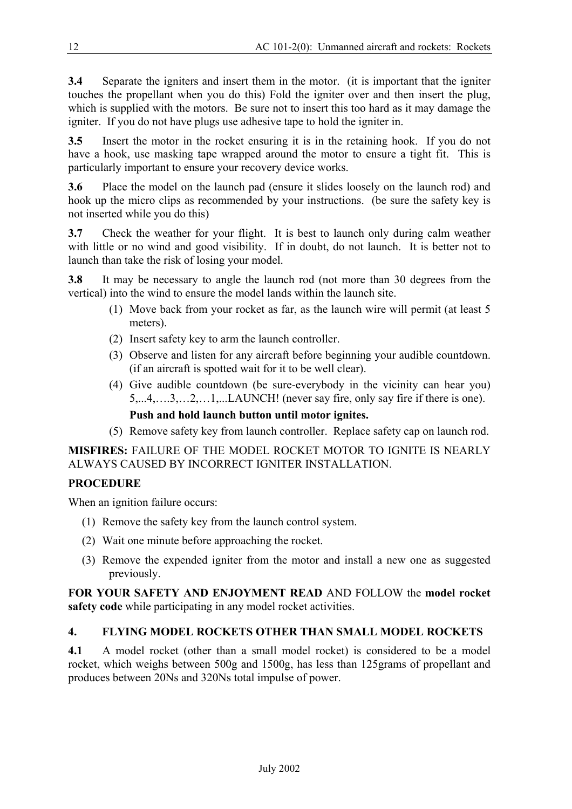**3.4** Separate the igniters and insert them in the motor. (it is important that the igniter touches the propellant when you do this) Fold the igniter over and then insert the plug, which is supplied with the motors. Be sure not to insert this too hard as it may damage the igniter. If you do not have plugs use adhesive tape to hold the igniter in.

**3.5** Insert the motor in the rocket ensuring it is in the retaining hook. If you do not have a hook, use masking tape wrapped around the motor to ensure a tight fit. This is particularly important to ensure your recovery device works.

**3.6** Place the model on the launch pad (ensure it slides loosely on the launch rod) and hook up the micro clips as recommended by your instructions. (be sure the safety key is not inserted while you do this)

**3.7** Check the weather for your flight. It is best to launch only during calm weather with little or no wind and good visibility. If in doubt, do not launch. It is better not to launch than take the risk of losing your model.

**3.8** It may be necessary to angle the launch rod (not more than 30 degrees from the vertical) into the wind to ensure the model lands within the launch site.

- (1) Move back from your rocket as far, as the launch wire will permit (at least 5 meters).
- (2) Insert safety key to arm the launch controller.
- (3) Observe and listen for any aircraft before beginning your audible countdown. (if an aircraft is spotted wait for it to be well clear).
- (4) Give audible countdown (be sure-everybody in the vicinity can hear you) 5,...4,….3,…2,…1,...LAUNCH! (never say fire, only say fire if there is one). **Push and hold launch button until motor ignites.**
- (5) Remove safety key from launch controller. Replace safety cap on launch rod.

# **MISFIRES:** FAILURE OF THE MODEL ROCKET MOTOR TO IGNITE IS NEARLY ALWAYS CAUSED BY INCORRECT IGNITER INSTALLATION.

# **PROCEDURE**

When an ignition failure occurs:

- (1) Remove the safety key from the launch control system.
- (2) Wait one minute before approaching the rocket.
- (3) Remove the expended igniter from the motor and install a new one as suggested previously.

**FOR YOUR SAFETY AND ENJOYMENT READ** AND FOLLOW the **model rocket safety code** while participating in any model rocket activities.

# **4. FLYING MODEL ROCKETS OTHER THAN SMALL MODEL ROCKETS**

**4.1** A model rocket (other than a small model rocket) is considered to be a model rocket, which weighs between 500g and 1500g, has less than 125grams of propellant and produces between 20Ns and 320Ns total impulse of power.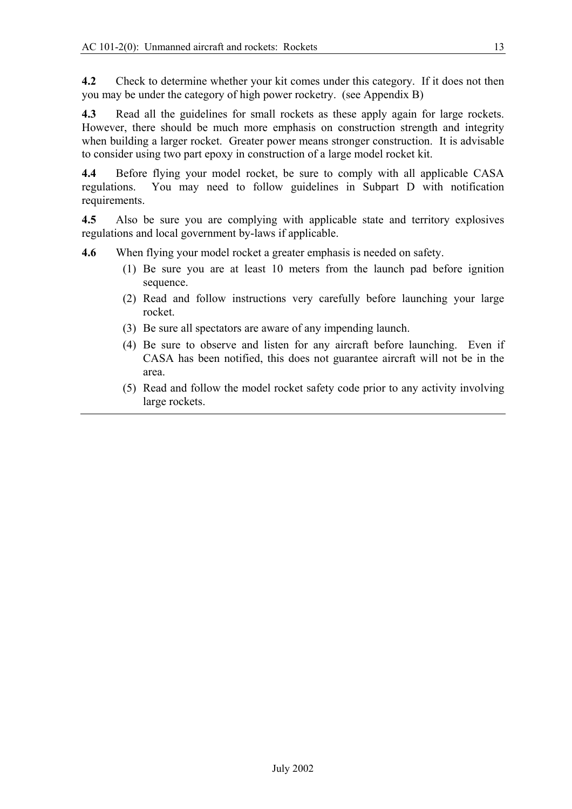**4.2** Check to determine whether your kit comes under this category. If it does not then you may be under the category of high power rocketry. (see Appendix B)

**4.3** Read all the guidelines for small rockets as these apply again for large rockets. However, there should be much more emphasis on construction strength and integrity when building a larger rocket. Greater power means stronger construction. It is advisable to consider using two part epoxy in construction of a large model rocket kit.

**4.4** Before flying your model rocket, be sure to comply with all applicable CASA regulations. You may need to follow guidelines in Subpart D with notification requirements.

**4.5** Also be sure you are complying with applicable state and territory explosives regulations and local government by-laws if applicable.

- **4.6** When flying your model rocket a greater emphasis is needed on safety.
	- (1) Be sure you are at least 10 meters from the launch pad before ignition sequence.
	- (2) Read and follow instructions very carefully before launching your large rocket.
	- (3) Be sure all spectators are aware of any impending launch.
	- (4) Be sure to observe and listen for any aircraft before launching. Even if CASA has been notified, this does not guarantee aircraft will not be in the area.
	- (5) Read and follow the model rocket safety code prior to any activity involving large rockets.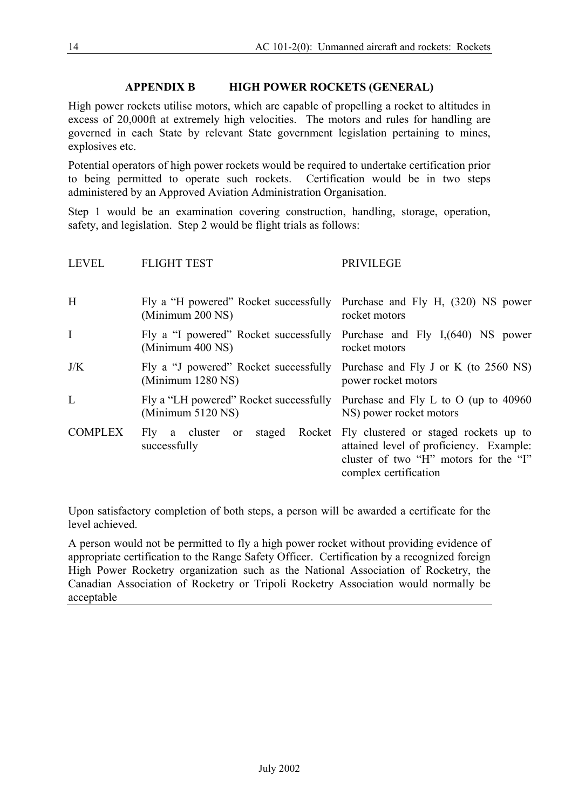# **APPENDIX B HIGH POWER ROCKETS (GENERAL)**

High power rockets utilise motors, which are capable of propelling a rocket to altitudes in excess of 20,000ft at extremely high velocities. The motors and rules for handling are governed in each State by relevant State government legislation pertaining to mines, explosives etc.

Potential operators of high power rockets would be required to undertake certification prior to being permitted to operate such rockets. Certification would be in two steps administered by an Approved Aviation Administration Organisation.

Step 1 would be an examination covering construction, handling, storage, operation, safety, and legislation. Step 2 would be flight trials as follows:

| <b>LEVEL</b>   | <b>FLIGHT TEST</b>                                                                           | <b>PRIVILEGE</b>                                                                                                                                   |
|----------------|----------------------------------------------------------------------------------------------|----------------------------------------------------------------------------------------------------------------------------------------------------|
| H              | Fly a "H powered" Rocket successfully Purchase and Fly H, (320) NS power<br>(Minimum 200 NS) | rocket motors                                                                                                                                      |
| $\mathbf I$    | Fly a "I powered" Rocket successfully Purchase and Fly I, (640) NS power<br>(Minimum 400 NS) | rocket motors                                                                                                                                      |
| J/K            | Fly a "J powered" Rocket successfully<br>(Minimum 1280 NS)                                   | Purchase and Fly J or K (to 2560 NS)<br>power rocket motors                                                                                        |
| L              | Fly a "LH powered" Rocket successfully<br>(Minimum 5120 NS)                                  | Purchase and Fly L to O (up to $40960$ )<br>NS) power rocket motors                                                                                |
| <b>COMPLEX</b> | Rocket<br>staged<br>Fly a cluster<br><sub>or</sub><br>successfully                           | Fly clustered or staged rockets up to<br>attained level of proficiency. Example:<br>cluster of two "H" motors for the "I"<br>complex certification |

Upon satisfactory completion of both steps, a person will be awarded a certificate for the level achieved.

A person would not be permitted to fly a high power rocket without providing evidence of appropriate certification to the Range Safety Officer. Certification by a recognized foreign High Power Rocketry organization such as the National Association of Rocketry, the Canadian Association of Rocketry or Tripoli Rocketry Association would normally be acceptable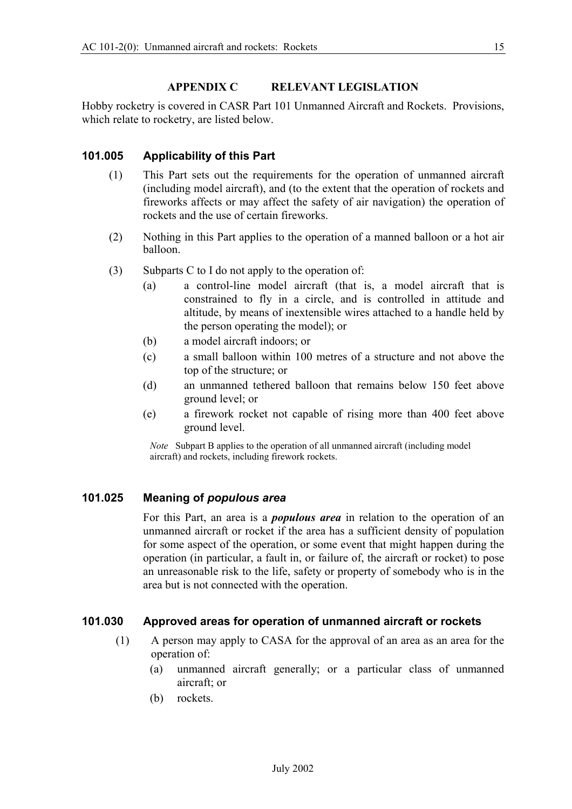#### **APPENDIX C RELEVANT LEGISLATION**

Hobby rocketry is covered in CASR Part 101 Unmanned Aircraft and Rockets. Provisions, which relate to rocketry, are listed below.

# **101.005 Applicability of this Part**

- (1) This Part sets out the requirements for the operation of unmanned aircraft (including model aircraft), and (to the extent that the operation of rockets and fireworks affects or may affect the safety of air navigation) the operation of rockets and the use of certain fireworks.
- (2) Nothing in this Part applies to the operation of a manned balloon or a hot air balloon.
- (3) Subparts C to I do not apply to the operation of:
	- (a) a control-line model aircraft (that is, a model aircraft that is constrained to fly in a circle, and is controlled in attitude and altitude, by means of inextensible wires attached to a handle held by the person operating the model); or
	- (b) a model aircraft indoors; or
	- (c) a small balloon within 100 metres of a structure and not above the top of the structure; or
	- (d) an unmanned tethered balloon that remains below 150 feet above ground level; or
	- (e) a firework rocket not capable of rising more than 400 feet above ground level.

*Note* Subpart B applies to the operation of all unmanned aircraft (including model aircraft) and rockets, including firework rockets.

#### **101.025 Meaning of** *populous area*

For this Part, an area is a *populous area* in relation to the operation of an unmanned aircraft or rocket if the area has a sufficient density of population for some aspect of the operation, or some event that might happen during the operation (in particular, a fault in, or failure of, the aircraft or rocket) to pose an unreasonable risk to the life, safety or property of somebody who is in the area but is not connected with the operation.

#### **101.030 Approved areas for operation of unmanned aircraft or rockets**

- (1) A person may apply to CASA for the approval of an area as an area for the operation of:
	- (a) unmanned aircraft generally; or a particular class of unmanned aircraft; or
	- (b) rockets.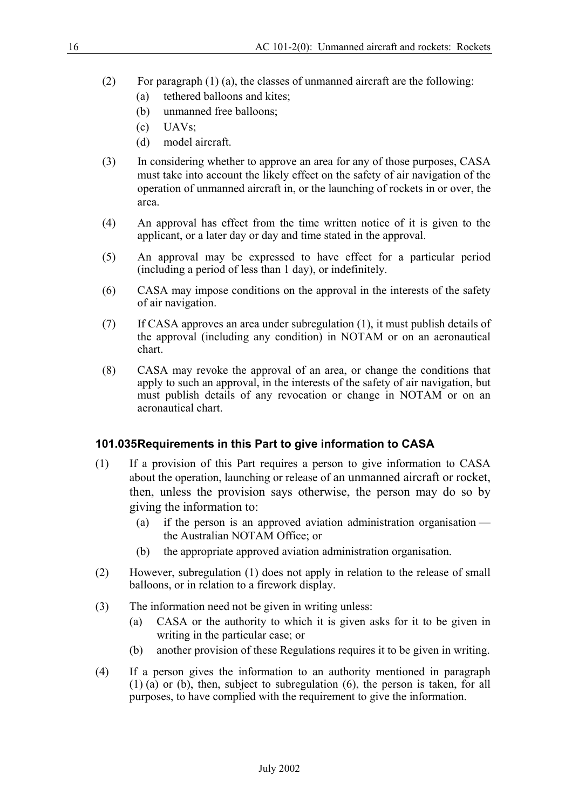- (2) For paragraph (1) (a), the classes of unmanned aircraft are the following:
	- (a) tethered balloons and kites;
	- (b) unmanned free balloons;
	- (c) UAVs;
	- (d) model aircraft.
- (3) In considering whether to approve an area for any of those purposes, CASA must take into account the likely effect on the safety of air navigation of the operation of unmanned aircraft in, or the launching of rockets in or over, the area.
- (4) An approval has effect from the time written notice of it is given to the applicant, or a later day or day and time stated in the approval.
- (5) An approval may be expressed to have effect for a particular period (including a period of less than 1 day), or indefinitely.
- (6) CASA may impose conditions on the approval in the interests of the safety of air navigation.
- (7) If CASA approves an area under subregulation (1), it must publish details of the approval (including any condition) in NOTAM or on an aeronautical chart.
- (8) CASA may revoke the approval of an area, or change the conditions that apply to such an approval, in the interests of the safety of air navigation, but must publish details of any revocation or change in NOTAM or on an aeronautical chart.

# **101.035 Requirements in this Part to give information to CASA**

- (1) If a provision of this Part requires a person to give information to CASA about the operation, launching or release of an unmanned aircraft or rocket, then, unless the provision says otherwise, the person may do so by giving the information to:
	- (a) if the person is an approved aviation administration organisation the Australian NOTAM Office; or
	- (b) the appropriate approved aviation administration organisation.
- (2) However, subregulation (1) does not apply in relation to the release of small balloons, or in relation to a firework display.
- (3) The information need not be given in writing unless:
	- (a) CASA or the authority to which it is given asks for it to be given in writing in the particular case; or
	- (b) another provision of these Regulations requires it to be given in writing.
- (4) If a person gives the information to an authority mentioned in paragraph (1) (a) or (b), then, subject to subregulation (6), the person is taken, for all purposes, to have complied with the requirement to give the information.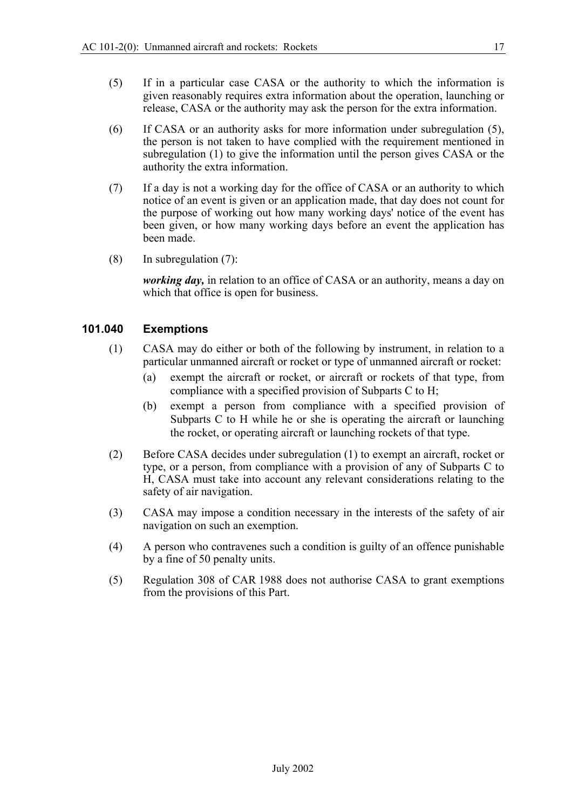- (5) If in a particular case CASA or the authority to which the information is given reasonably requires extra information about the operation, launching or release, CASA or the authority may ask the person for the extra information.
- (6) If CASA or an authority asks for more information under subregulation (5), the person is not taken to have complied with the requirement mentioned in subregulation (1) to give the information until the person gives CASA or the authority the extra information.
- (7) If a day is not a working day for the office of CASA or an authority to which notice of an event is given or an application made, that day does not count for the purpose of working out how many working days' notice of the event has been given, or how many working days before an event the application has been made.
- (8) In subregulation (7):

*working day,* in relation to an office of CASA or an authority, means a day on which that office is open for business.

#### **101.040 Exemptions**

- (1) CASA may do either or both of the following by instrument, in relation to a particular unmanned aircraft or rocket or type of unmanned aircraft or rocket:
	- (a) exempt the aircraft or rocket, or aircraft or rockets of that type, from compliance with a specified provision of Subparts C to H;
	- (b) exempt a person from compliance with a specified provision of Subparts C to H while he or she is operating the aircraft or launching the rocket, or operating aircraft or launching rockets of that type.
- (2) Before CASA decides under subregulation (1) to exempt an aircraft, rocket or type, or a person, from compliance with a provision of any of Subparts C to H, CASA must take into account any relevant considerations relating to the safety of air navigation.
- (3) CASA may impose a condition necessary in the interests of the safety of air navigation on such an exemption.
- (4) A person who contravenes such a condition is guilty of an offence punishable by a fine of 50 penalty units.
- (5) Regulation 308 of CAR 1988 does not authorise CASA to grant exemptions from the provisions of this Part.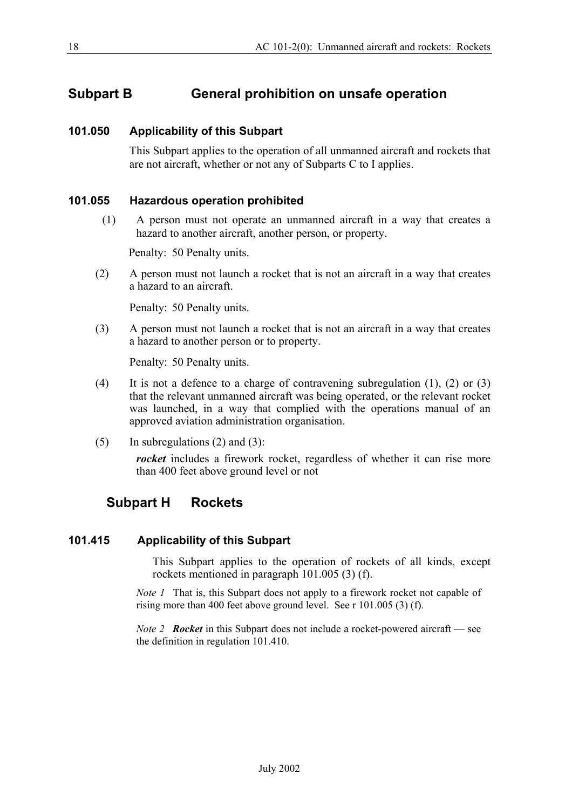# **Subpart B General prohibition on unsafe operation**

### **101.050 Applicability of this Subpart**

This Subpart applies to the operation of all unmanned aircraft and rockets that are not aircraft, whether or not any of Subparts C to I applies.

#### **101.055 Hazardous operation prohibited**

(1) A person must not operate an unmanned aircraft in a way that creates a hazard to another aircraft, another person, or property.

Penalty: 50 Penalty units.

(2) A person must not launch a rocket that is not an aircraft in a way that creates a hazard to an aircraft.

Penalty: 50 Penalty units.

(3) A person must not launch a rocket that is not an aircraft in a way that creates a hazard to another person or to property.

Penalty: 50 Penalty units.

- (4) It is not a defence to a charge of contravening subregulation (1), (2) or (3) that the relevant unmanned aircraft was being operated, or the relevant rocket was launched, in a way that complied with the operations manual of an approved aviation administration organisation.
- $(5)$  In subregulations  $(2)$  and  $(3)$ :

*rocket* includes a firework rocket, regardless of whether it can rise more than 400 feet above ground level or not

# **Subpart H Rockets**

#### **101.415 Applicability of this Subpart**

This Subpart applies to the operation of rockets of all kinds, except rockets mentioned in paragraph 101.005 (3) (f).

*Note 1* That is, this Subpart does not apply to a firework rocket not capable of rising more than 400 feet above ground level. See r 101.005 (3) (f).

*Note 2 Rocket* in this Subpart does not include a rocket-powered aircraft — see the definition in regulation 101.410.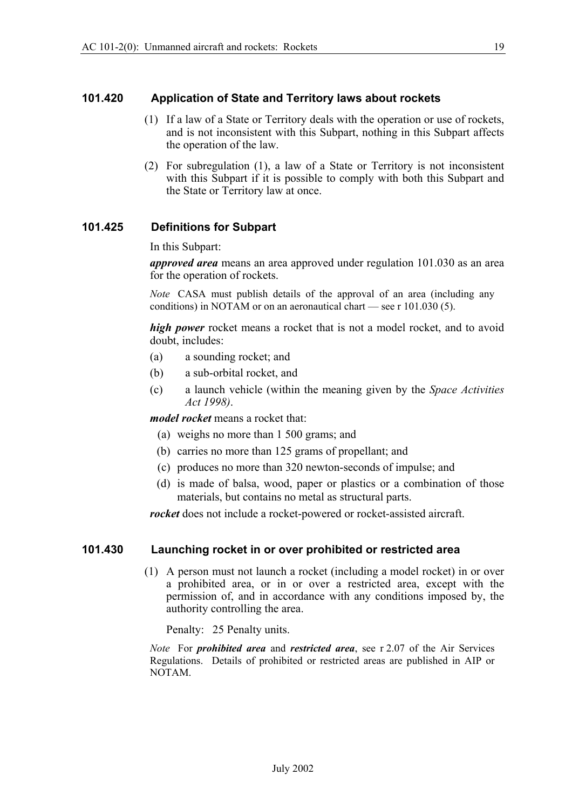#### **101.420 Application of State and Territory laws about rockets**

- (1) If a law of a State or Territory deals with the operation or use of rockets, and is not inconsistent with this Subpart, nothing in this Subpart affects the operation of the law.
- (2) For subregulation (1), a law of a State or Territory is not inconsistent with this Subpart if it is possible to comply with both this Subpart and the State or Territory law at once.

### **101.425 Definitions for Subpart**

In this Subpart:

*approved area* means an area approved under regulation 101.030 as an area for the operation of rockets.

*Note* CASA must publish details of the approval of an area (including any conditions) in NOTAM or on an aeronautical chart — see r 101.030 (5).

*high power* rocket means a rocket that is not a model rocket, and to avoid doubt, includes:

- (a) a sounding rocket; and
- (b) a sub-orbital rocket, and
- (c) a launch vehicle (within the meaning given by the *Space Activities Act 1998)*.

*model rocket* means a rocket that:

- (a) weighs no more than 1 500 grams; and
- (b) carries no more than 125 grams of propellant; and
- (c) produces no more than 320 newton-seconds of impulse; and
- (d) is made of balsa, wood, paper or plastics or a combination of those materials, but contains no metal as structural parts.

*rocket* does not include a rocket-powered or rocket-assisted aircraft.

#### **101.430 Launching rocket in or over prohibited or restricted area**

(1) A person must not launch a rocket (including a model rocket) in or over a prohibited area, or in or over a restricted area, except with the permission of, and in accordance with any conditions imposed by, the authority controlling the area.

Penalty: 25 Penalty units.

*Note* For *prohibited area* and *restricted area*, see r 2.07 of the Air Services Regulations. Details of prohibited or restricted areas are published in AIP or NOTAM.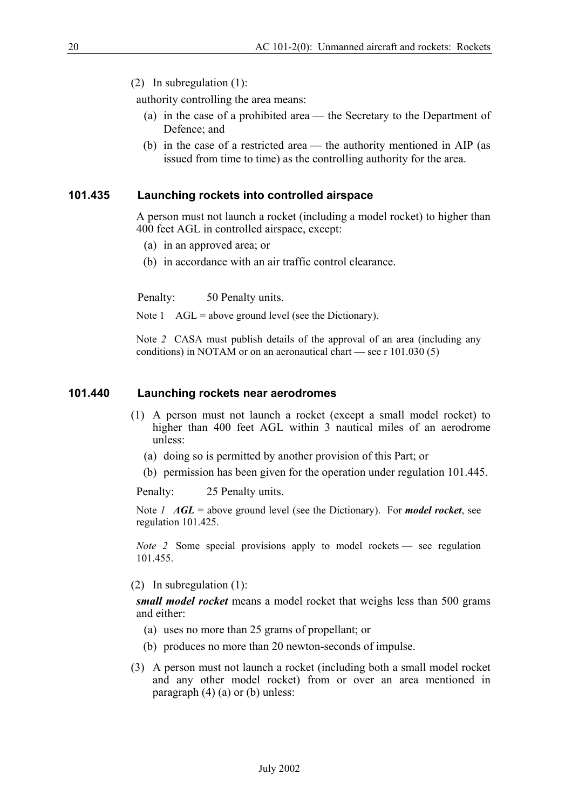(2) In subregulation (1):

authority controlling the area means:

- (a) in the case of a prohibited area the Secretary to the Department of Defence; and
- (b) in the case of a restricted area the authority mentioned in AIP (as issued from time to time) as the controlling authority for the area.

#### **101.435 Launching rockets into controlled airspace**

A person must not launch a rocket (including a model rocket) to higher than 400 feet AGL in controlled airspace, except:

- (a) in an approved area; or
- (b) in accordance with an air traffic control clearance.

Penalty: 50 Penalty units.

Note  $1$  AGL = above ground level (see the Dictionary).

Note *2* CASA must publish details of the approval of an area (including any conditions) in NOTAM or on an aeronautical chart — see r 101.030 (5)

#### **101.440 Launching rockets near aerodromes**

- (1) A person must not launch a rocket (except a small model rocket) to higher than 400 feet AGL within 3 nautical miles of an aerodrome unless:
	- (a) doing so is permitted by another provision of this Part; or
	- (b) permission has been given for the operation under regulation 101.445.

Penalty: 25 Penalty units.

Note *1 AGL* = above ground level (see the Dictionary). For *model rocket*, see regulation 101.425.

*Note 2* Some special provisions apply to model rockets — see regulation 101.455.

(2) In subregulation (1):

*small model rocket* means a model rocket that weighs less than 500 grams and either:

- (a) uses no more than 25 grams of propellant; or
- (b) produces no more than 20 newton-seconds of impulse.
- (3) A person must not launch a rocket (including both a small model rocket and any other model rocket) from or over an area mentioned in paragraph  $(4)$   $(a)$  or  $(b)$  unless: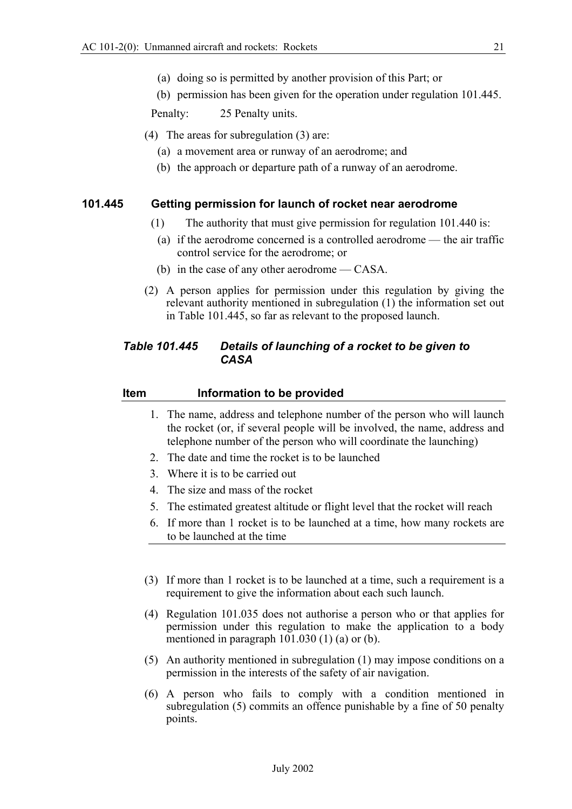- (a) doing so is permitted by another provision of this Part; or
- (b) permission has been given for the operation under regulation 101.445.

Penalty: 25 Penalty units.

- (4) The areas for subregulation (3) are:
	- (a) a movement area or runway of an aerodrome; and
	- (b) the approach or departure path of a runway of an aerodrome.

#### **101.445 Getting permission for launch of rocket near aerodrome**

- (1) The authority that must give permission for regulation 101.440 is:
- (a) if the aerodrome concerned is a controlled aerodrome the air traffic control service for the aerodrome; or
- (b) in the case of any other aerodrome CASA.
- (2) A person applies for permission under this regulation by giving the relevant authority mentioned in subregulation (1) the information set out in Table 101.445, so far as relevant to the proposed launch.

### *Table 101.445 Details of launching of a rocket to be given to CASA*

#### **Item Information to be provided**

- 1. The name, address and telephone number of the person who will launch the rocket (or, if several people will be involved, the name, address and telephone number of the person who will coordinate the launching)
- 2. The date and time the rocket is to be launched
- 3. Where it is to be carried out
- 4. The size and mass of the rocket
- 5. The estimated greatest altitude or flight level that the rocket will reach
- 6. If more than 1 rocket is to be launched at a time, how many rockets are to be launched at the time
- (3) If more than 1 rocket is to be launched at a time, such a requirement is a requirement to give the information about each such launch.
- (4) Regulation 101.035 does not authorise a person who or that applies for permission under this regulation to make the application to a body mentioned in paragraph 101.030 (1) (a) or (b).
- (5) An authority mentioned in subregulation (1) may impose conditions on a permission in the interests of the safety of air navigation.
- (6) A person who fails to comply with a condition mentioned in subregulation (5) commits an offence punishable by a fine of 50 penalty points.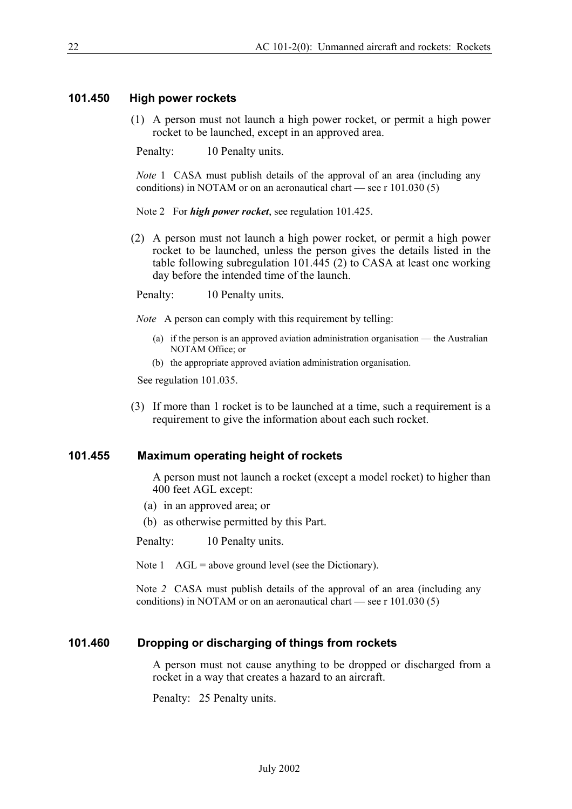#### **101.450 High power rockets**

(1) A person must not launch a high power rocket, or permit a high power rocket to be launched, except in an approved area.

Penalty: 10 Penalty units.

*Note* 1 CASA must publish details of the approval of an area (including any conditions) in NOTAM or on an aeronautical chart — see r 101.030 (5)

Note 2 For *high power rocket*, see regulation 101.425.

(2) A person must not launch a high power rocket, or permit a high power rocket to be launched, unless the person gives the details listed in the table following subregulation 101.445 (2) to CASA at least one working day before the intended time of the launch.

Penalty: 10 Penalty units.

*Note* A person can comply with this requirement by telling:

- (a) if the person is an approved aviation administration organisation the Australian NOTAM Office; or
- (b) the appropriate approved aviation administration organisation.

See regulation 101.035.

(3) If more than 1 rocket is to be launched at a time, such a requirement is a requirement to give the information about each such rocket.

#### **101.455 Maximum operating height of rockets**

A person must not launch a rocket (except a model rocket) to higher than 400 feet AGL except:

(a) in an approved area; or

(b) as otherwise permitted by this Part.

Penalty: 10 Penalty units.

Note  $1$  AGL = above ground level (see the Dictionary).

Note *2* CASA must publish details of the approval of an area (including any conditions) in NOTAM or on an aeronautical chart — see r 101.030 (5)

#### **101.460 Dropping or discharging of things from rockets**

A person must not cause anything to be dropped or discharged from a rocket in a way that creates a hazard to an aircraft.

Penalty: 25 Penalty units.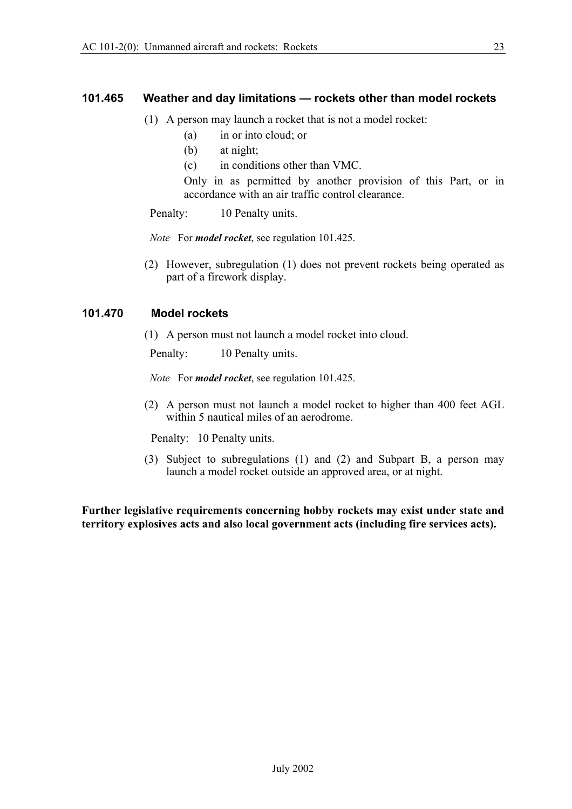#### **101.465 Weather and day limitations — rockets other than model rockets**

- (1) A person may launch a rocket that is not a model rocket:
	- (a) in or into cloud; or
	- (b) at night;
	- (c) in conditions other than VMC.

Only in as permitted by another provision of this Part, or in accordance with an air traffic control clearance.

Penalty: 10 Penalty units.

*Note* For *model rocket*, see regulation 101.425.

(2) However, subregulation (1) does not prevent rockets being operated as part of a firework display.

#### **101.470 Model rockets**

(1) A person must not launch a model rocket into cloud.

Penalty: 10 Penalty units.

*Note* For *model rocket*, see regulation 101.425.

(2) A person must not launch a model rocket to higher than 400 feet AGL within 5 nautical miles of an aerodrome.

Penalty: 10 Penalty units.

(3) Subject to subregulations (1) and (2) and Subpart B, a person may launch a model rocket outside an approved area, or at night.

**Further legislative requirements concerning hobby rockets may exist under state and territory explosives acts and also local government acts (including fire services acts).**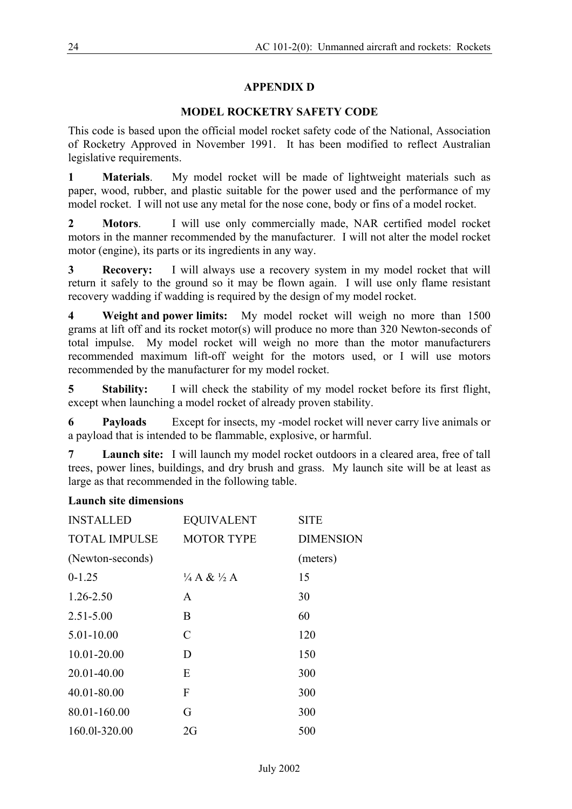# **APPENDIX D**

# **MODEL ROCKETRY SAFETY CODE**

This code is based upon the official model rocket safety code of the National, Association of Rocketry Approved in November 1991. It has been modified to reflect Australian legislative requirements.

**1 Materials**. My model rocket will be made of lightweight materials such as paper, wood, rubber, and plastic suitable for the power used and the performance of my model rocket. I will not use any metal for the nose cone, body or fins of a model rocket.

**2 Motors**. I will use only commercially made, NAR certified model rocket motors in the manner recommended by the manufacturer. I will not alter the model rocket motor (engine), its parts or its ingredients in any way.

**3 Recovery:** I will always use a recovery system in my model rocket that will return it safely to the ground so it may be flown again. I will use only flame resistant recovery wadding if wadding is required by the design of my model rocket.

**4 Weight and power limits:** My model rocket will weigh no more than 1500 grams at lift off and its rocket motor(s) will produce no more than 320 Newton-seconds of total impulse. My model rocket will weigh no more than the motor manufacturers recommended maximum lift-off weight for the motors used, or I will use motors recommended by the manufacturer for my model rocket.

**5** Stability: I will check the stability of my model rocket before its first flight, except when launching a model rocket of already proven stability.

**6 Payloads** Except for insects, my -model rocket will never carry live animals or a payload that is intended to be flammable, explosive, or harmful.

**7 Launch site:** I will launch my model rocket outdoors in a cleared area, free of tall trees, power lines, buildings, and dry brush and grass. My launch site will be at least as large as that recommended in the following table.

# **Launch site dimensions**

| <b>INSTALLED</b>     | <b>EQUIVALENT</b>              | <b>SITE</b>      |
|----------------------|--------------------------------|------------------|
| <b>TOTAL IMPULSE</b> | <b>MOTOR TYPE</b>              | <b>DIMENSION</b> |
| (Newton-seconds)     |                                | (meters)         |
| $0-1.25$             | $\frac{1}{4}A \& \frac{1}{2}A$ | 15               |
| 1.26-2.50            | A                              | 30               |
| $2.51 - 5.00$        | B                              | 60               |
| 5.01-10.00           | C                              | 120              |
| 10.01-20.00          | D                              | 150              |
| 20.01-40.00          | E                              | 300              |
| 40.01-80.00          | F                              | 300              |
| 80.01-160.00         | G                              | 300              |
| 160.01-320.00        | 2G                             | 500              |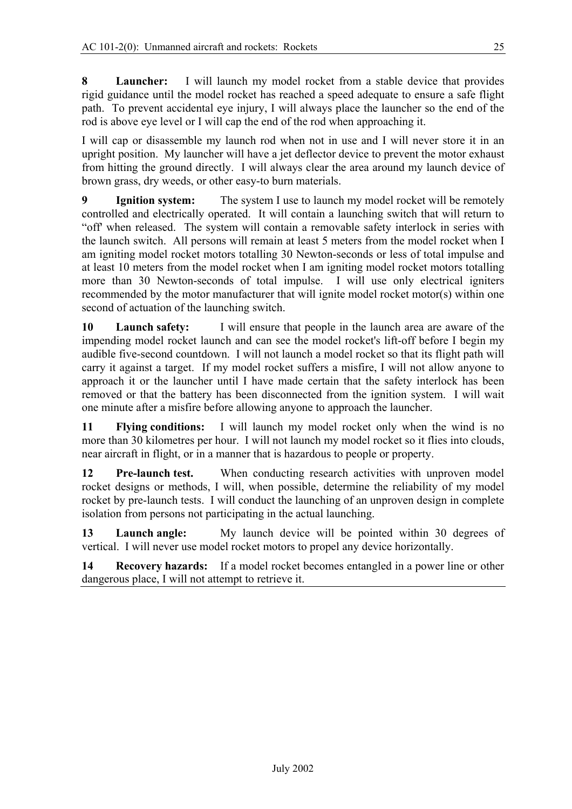**8 Launcher:** I will launch my model rocket from a stable device that provides rigid guidance until the model rocket has reached a speed adequate to ensure a safe flight path. To prevent accidental eye injury, I will always place the launcher so the end of the rod is above eye level or I will cap the end of the rod when approaching it.

I will cap or disassemble my launch rod when not in use and I will never store it in an upright position. My launcher will have a jet deflector device to prevent the motor exhaust from hitting the ground directly. I will always clear the area around my launch device of brown grass, dry weeds, or other easy-to burn materials.

**9 Ignition system:** The system I use to launch my model rocket will be remotely controlled and electrically operated. It will contain a launching switch that will return to "off' when released. The system will contain a removable safety interlock in series with the launch switch. All persons will remain at least 5 meters from the model rocket when I am igniting model rocket motors totalling 30 Newton-seconds or less of total impulse and at least 10 meters from the model rocket when I am igniting model rocket motors totalling more than 30 Newton-seconds of total impulse. I will use only electrical igniters recommended by the motor manufacturer that will ignite model rocket motor(s) within one second of actuation of the launching switch.

**10 Launch safety:** I will ensure that people in the launch area are aware of the impending model rocket launch and can see the model rocket's lift-off before I begin my audible five-second countdown. I will not launch a model rocket so that its flight path will carry it against a target. If my model rocket suffers a misfire, I will not allow anyone to approach it or the launcher until I have made certain that the safety interlock has been removed or that the battery has been disconnected from the ignition system. I will wait one minute after a misfire before allowing anyone to approach the launcher.

**11 Flying conditions:** I will launch my model rocket only when the wind is no more than 30 kilometres per hour. I will not launch my model rocket so it flies into clouds, near aircraft in flight, or in a manner that is hazardous to people or property.

**12 Pre-launch test.** When conducting research activities with unproven model rocket designs or methods, I will, when possible, determine the reliability of my model rocket by pre-launch tests. I will conduct the launching of an unproven design in complete isolation from persons not participating in the actual launching.

**13 Launch angle:** My launch device will be pointed within 30 degrees of vertical. I will never use model rocket motors to propel any device horizontally.

**14 Recovery hazards:** If a model rocket becomes entangled in a power line or other dangerous place, I will not attempt to retrieve it.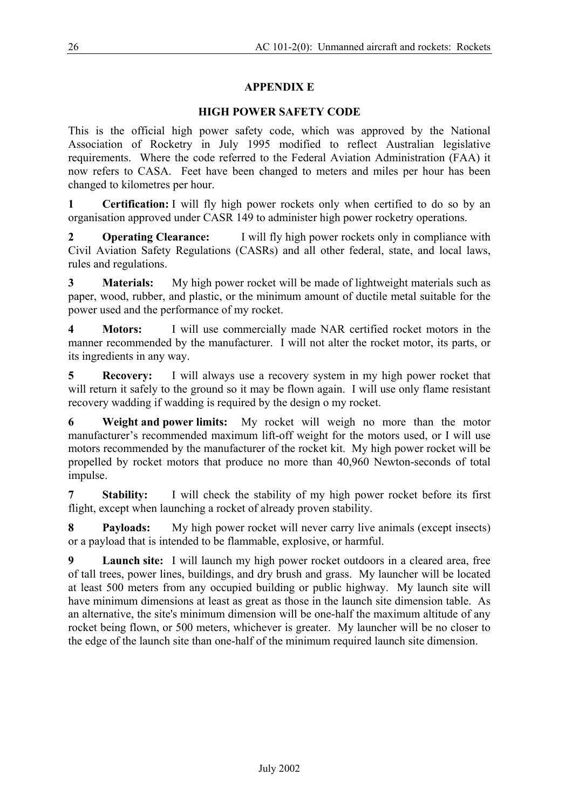# **APPENDIX E**

# **HIGH POWER SAFETY CODE**

This is the official high power safety code, which was approved by the National Association of Rocketry in July 1995 modified to reflect Australian legislative requirements. Where the code referred to the Federal Aviation Administration (FAA) it now refers to CASA. Feet have been changed to meters and miles per hour has been changed to kilometres per hour.

**1 Certification:** I will fly high power rockets only when certified to do so by an organisation approved under CASR 149 to administer high power rocketry operations.

**2 Operating Clearance:** I will fly high power rockets only in compliance with Civil Aviation Safety Regulations (CASRs) and all other federal, state, and local laws, rules and regulations.

**3 Materials:** My high power rocket will be made of lightweight materials such as paper, wood, rubber, and plastic, or the minimum amount of ductile metal suitable for the power used and the performance of my rocket.

**4 Motors:** I will use commercially made NAR certified rocket motors in the manner recommended by the manufacturer. I will not alter the rocket motor, its parts, or its ingredients in any way.

**5 Recovery:** I will always use a recovery system in my high power rocket that will return it safely to the ground so it may be flown again. I will use only flame resistant recovery wadding if wadding is required by the design o my rocket.

**6 Weight and power limits:** My rocket will weigh no more than the motor manufacturer's recommended maximum lift-off weight for the motors used, or I will use motors recommended by the manufacturer of the rocket kit. My high power rocket will be propelled by rocket motors that produce no more than 40,960 Newton-seconds of total impulse.

**7 Stability:** I will check the stability of my high power rocket before its first flight, except when launching a rocket of already proven stability.

**8 Payloads:** My high power rocket will never carry live animals (except insects) or a payload that is intended to be flammable, explosive, or harmful.

**9 Launch site:** I will launch my high power rocket outdoors in a cleared area, free of tall trees, power lines, buildings, and dry brush and grass. My launcher will be located at least 500 meters from any occupied building or public highway. My launch site will have minimum dimensions at least as great as those in the launch site dimension table. As an alternative, the site's minimum dimension will be one-half the maximum altitude of any rocket being flown, or 500 meters, whichever is greater. My launcher will be no closer to the edge of the launch site than one-half of the minimum required launch site dimension.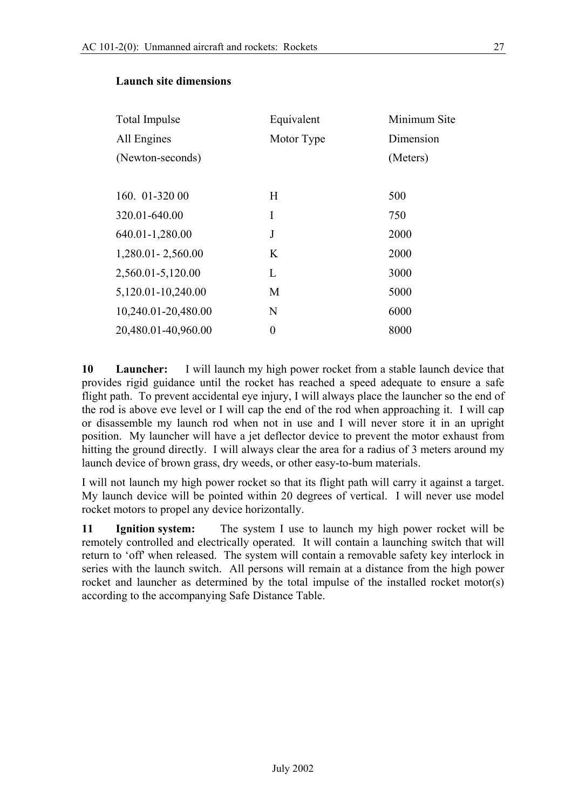| Total Impulse       | Equivalent     | Minimum Site |
|---------------------|----------------|--------------|
| All Engines         | Motor Type     | Dimension    |
| (Newton-seconds)    |                | (Meters)     |
|                     |                |              |
| 160. 01-320 00      | H              | 500          |
| 320.01-640.00       | I              | 750          |
| 640.01-1,280.00     | J              | 2000         |
| 1,280.01 - 2,560.00 | K              | 2000         |
| 2,560.01-5,120.00   | L              | 3000         |
| 5,120.01-10,240.00  | M              | 5000         |
| 10,240.01-20,480.00 | N              | 6000         |
| 20,480.01-40,960.00 | $\overline{0}$ | 8000         |

#### **Launch site dimensions**

**10 Launcher:** I will launch my high power rocket from a stable launch device that provides rigid guidance until the rocket has reached a speed adequate to ensure a safe flight path. To prevent accidental eye injury, I will always place the launcher so the end of the rod is above eve level or I will cap the end of the rod when approaching it. I will cap or disassemble my launch rod when not in use and I will never store it in an upright position. My launcher will have a jet deflector device to prevent the motor exhaust from hitting the ground directly. I will always clear the area for a radius of 3 meters around my launch device of brown grass, dry weeds, or other easy-to-bum materials.

I will not launch my high power rocket so that its flight path will carry it against a target. My launch device will be pointed within 20 degrees of vertical. I will never use model rocket motors to propel any device horizontally.

**11 Ignition system:** The system I use to launch my high power rocket will be remotely controlled and electrically operated. It will contain a launching switch that will return to 'off' when released. The system will contain a removable safety key interlock in series with the launch switch. All persons will remain at a distance from the high power rocket and launcher as determined by the total impulse of the installed rocket motor(s) according to the accompanying Safe Distance Table.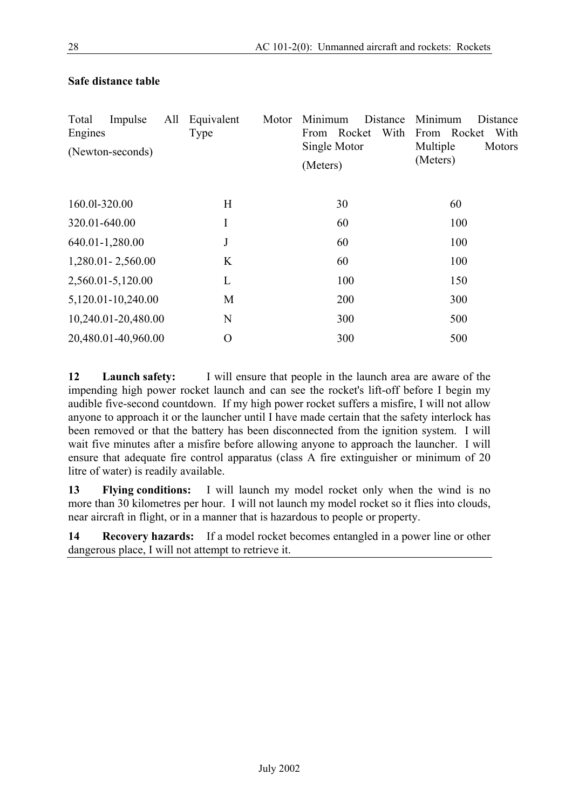| Total<br>Engines<br>(Newton-seconds) | Impulse             | All | Equivalent<br>Type | Motor | Minimum<br>From Rocket<br>Single Motor<br>(Meters) | Distance<br>With | Minimum<br>From Rocket<br>Multiple<br>(Meters) | Distance<br>With<br>Motors |
|--------------------------------------|---------------------|-----|--------------------|-------|----------------------------------------------------|------------------|------------------------------------------------|----------------------------|
| 160.01-320.00                        |                     |     | H                  |       | 30                                                 |                  | 60                                             |                            |
| 320.01-640.00                        |                     |     | I                  |       | 60                                                 |                  | 100                                            |                            |
| 640.01-1,280.00                      |                     |     | J                  |       | 60                                                 |                  | 100                                            |                            |
| 1,280.01 - 2,560.00                  |                     |     | K                  |       | 60                                                 |                  | 100                                            |                            |
| 2,560.01-5,120.00                    |                     |     | L                  |       | 100                                                |                  | 150                                            |                            |
|                                      | 5,120.01-10,240.00  |     | M                  |       | 200                                                |                  | 300                                            |                            |
|                                      | 10,240.01-20,480.00 |     | N                  |       | 300                                                |                  | 500                                            |                            |
|                                      | 20,480.01-40,960.00 |     | O                  |       | 300                                                |                  | 500                                            |                            |

# **Safe distance table**

**12 Launch safety:** I will ensure that people in the launch area are aware of the impending high power rocket launch and can see the rocket's lift-off before I begin my audible five-second countdown. If my high power rocket suffers a misfire, I will not allow anyone to approach it or the launcher until I have made certain that the safety interlock has been removed or that the battery has been disconnected from the ignition system. I will wait five minutes after a misfire before allowing anyone to approach the launcher. I will ensure that adequate fire control apparatus (class A fire extinguisher or minimum of 20 litre of water) is readily available.

**13 Flying conditions:** I will launch my model rocket only when the wind is no more than 30 kilometres per hour. I will not launch my model rocket so it flies into clouds, near aircraft in flight, or in a manner that is hazardous to people or property.

**14 Recovery hazards:** If a model rocket becomes entangled in a power line or other dangerous place, I will not attempt to retrieve it.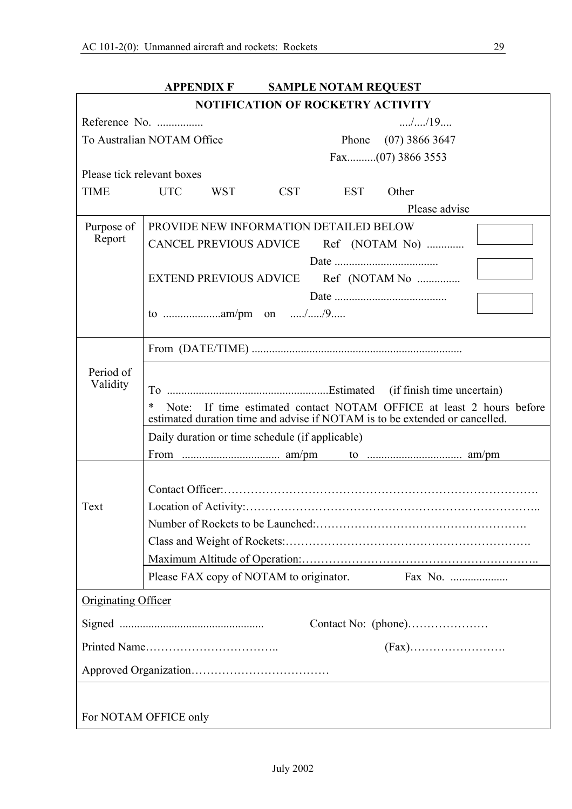|                                                                                                                                                               | <b>APPENDIX F</b><br><b>SAMPLE NOTAM REQUEST</b>              |  |  |
|---------------------------------------------------------------------------------------------------------------------------------------------------------------|---------------------------------------------------------------|--|--|
|                                                                                                                                                               | <b>NOTIFICATION OF ROCKETRY ACTIVITY</b>                      |  |  |
|                                                                                                                                                               | $\ldots$ / $\ldots$ /19 $\ldots$<br>Reference No.             |  |  |
|                                                                                                                                                               | To Australian NOTAM Office<br>$(07)$ 3866 3647<br>Phone       |  |  |
|                                                                                                                                                               |                                                               |  |  |
| Please tick relevant boxes                                                                                                                                    |                                                               |  |  |
| <b>TIME</b>                                                                                                                                                   | <b>UTC</b><br><b>CST</b><br><b>EST</b><br>Other<br><b>WST</b> |  |  |
|                                                                                                                                                               | Please advise                                                 |  |  |
| Purpose of                                                                                                                                                    | PROVIDE NEW INFORMATION DETAILED BELOW                        |  |  |
| Report                                                                                                                                                        | <b>CANCEL PREVIOUS ADVICE</b><br>Ref (NOTAM No)               |  |  |
|                                                                                                                                                               |                                                               |  |  |
|                                                                                                                                                               | Ref (NOTAM No<br><b>EXTEND PREVIOUS ADVICE</b>                |  |  |
|                                                                                                                                                               |                                                               |  |  |
|                                                                                                                                                               |                                                               |  |  |
|                                                                                                                                                               |                                                               |  |  |
| Period of                                                                                                                                                     |                                                               |  |  |
| Validity                                                                                                                                                      |                                                               |  |  |
| Note: If time estimated contact NOTAM OFFICE at least 2 hours before<br>$\ast$<br>estimated duration time and advise if NOTAM is to be extended or cancelled. |                                                               |  |  |
|                                                                                                                                                               | Daily duration or time schedule (if applicable)               |  |  |
|                                                                                                                                                               |                                                               |  |  |
|                                                                                                                                                               |                                                               |  |  |
|                                                                                                                                                               |                                                               |  |  |
| Text                                                                                                                                                          |                                                               |  |  |
|                                                                                                                                                               |                                                               |  |  |
|                                                                                                                                                               |                                                               |  |  |
|                                                                                                                                                               |                                                               |  |  |
|                                                                                                                                                               | Please FAX copy of NOTAM to originator.<br>Fax No.            |  |  |
| <b>Originating Officer</b>                                                                                                                                    |                                                               |  |  |
|                                                                                                                                                               |                                                               |  |  |
|                                                                                                                                                               |                                                               |  |  |
|                                                                                                                                                               |                                                               |  |  |
|                                                                                                                                                               |                                                               |  |  |
|                                                                                                                                                               | For NOTAM OFFICE only                                         |  |  |